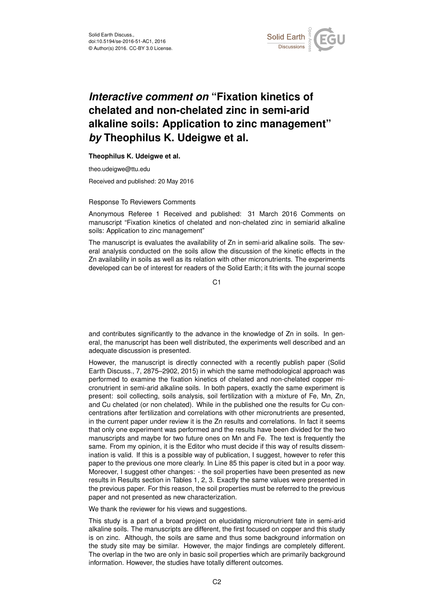

# *Interactive comment on* **"Fixation kinetics of chelated and non-chelated zinc in semi-arid alkaline soils: Application to zinc management"** *by* **Theophilus K. Udeigwe et al.**

## **Theophilus K. Udeigwe et al.**

theo.udeigwe@ttu.edu

Received and published: 20 May 2016

### Response To Reviewers Comments

Anonymous Referee 1 Received and published: 31 March 2016 Comments on manuscript "Fixation kinetics of chelated and non-chelated zinc in semiarid alkaline soils: Application to zinc management"

The manuscript is evaluates the availability of Zn in semi-arid alkaline soils. The several analysis conducted on the soils allow the discussion of the kinetic effects in the Zn availability in soils as well as its relation with other micronutrients. The experiments developed can be of interest for readers of the Solid Earth; it fits with the journal scope

C<sub>1</sub>

and contributes significantly to the advance in the knowledge of Zn in soils. In general, the manuscript has been well distributed, the experiments well described and an adequate discussion is presented.

However, the manuscript is directly connected with a recently publish paper (Solid Earth Discuss., 7, 2875–2902, 2015) in which the same methodological approach was performed to examine the fixation kinetics of chelated and non-chelated copper micronutrient in semi-arid alkaline soils. In both papers, exactly the same experiment is present: soil collecting, soils analysis, soil fertilization with a mixture of Fe, Mn, Zn, and Cu chelated (or non chelated). While in the published one the results for Cu concentrations after fertilization and correlations with other micronutrients are presented, in the current paper under review it is the Zn results and correlations. In fact it seems that only one experiment was performed and the results have been divided for the two manuscripts and maybe for two future ones on Mn and Fe. The text is frequently the same. From my opinion, it is the Editor who must decide if this way of results dissemination is valid. If this is a possible way of publication, I suggest, however to refer this paper to the previous one more clearly. In Line 85 this paper is cited but in a poor way. Moreover, I suggest other changes: - the soil properties have been presented as new results in Results section in Tables 1, 2, 3. Exactly the same values were presented in the previous paper. For this reason, the soil properties must be referred to the previous paper and not presented as new characterization.

We thank the reviewer for his views and suggestions.

This study is a part of a broad project on elucidating micronutrient fate in semi-arid alkaline soils. The manuscripts are different, the first focused on copper and this study is on zinc. Although, the soils are same and thus some background information on the study site may be similar. However, the major findings are completely different. The overlap in the two are only in basic soil properties which are primarily background information. However, the studies have totally different outcomes.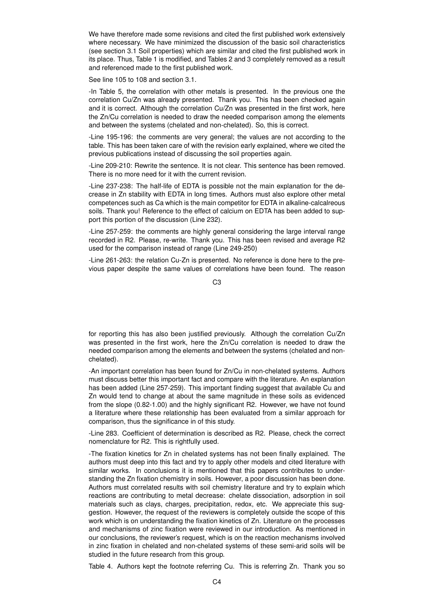We have therefore made some revisions and cited the first published work extensively where necessary. We have minimized the discussion of the basic soil characteristics (see section 3.1 Soil properties) which are similar and cited the first published work in its place. Thus, Table 1 is modified, and Tables 2 and 3 completely removed as a result and referenced made to the first published work.

See line 105 to 108 and section 3.1.

-In Table 5, the correlation with other metals is presented. In the previous one the correlation Cu/Zn was already presented. Thank you. This has been checked again and it is correct. Although the correlation Cu/Zn was presented in the first work, here the Zn/Cu correlation is needed to draw the needed comparison among the elements and between the systems (chelated and non-chelated). So, this is correct.

-Line 195-196: the comments are very general; the values are not according to the table. This has been taken care of with the revision early explained, where we cited the previous publications instead of discussing the soil properties again.

-Line 209-210: Rewrite the sentence. It is not clear. This sentence has been removed. There is no more need for it with the current revision.

-Line 237-238: The half-life of EDTA is possible not the main explanation for the decrease in Zn stability with EDTA in long times. Authors must also explore other metal competences such as Ca which is the main competitor for EDTA in alkaline-calcalreous soils. Thank you! Reference to the effect of calcium on EDTA has been added to support this portion of the discussion (Line 232).

-Line 257-259: the comments are highly general considering the large interval range recorded in R2. Please, re-write. Thank you. This has been revised and average R2 used for the comparison instead of range (Line 249-250)

-Line 261-263: the relation Cu-Zn is presented. No reference is done here to the previous paper despite the same values of correlations have been found. The reason

C3

for reporting this has also been justified previously. Although the correlation Cu/Zn was presented in the first work, here the Zn/Cu correlation is needed to draw the needed comparison among the elements and between the systems (chelated and nonchelated).

-An important correlation has been found for Zn/Cu in non-chelated systems. Authors must discuss better this important fact and compare with the literature. An explanation has been added (Line 257-259). This important finding suggest that available Cu and Zn would tend to change at about the same magnitude in these soils as evidenced from the slope (0.82-1.00) and the highly significant R2. However, we have not found a literature where these relationship has been evaluated from a similar approach for comparison, thus the significance in of this study.

-Line 283. Coefficient of determination is described as R2. Please, check the correct nomenclature for R2. This is rightfully used.

-The fixation kinetics for Zn in chelated systems has not been finally explained. The authors must deep into this fact and try to apply other models and cited literature with similar works. In conclusions it is mentioned that this papers contributes to understanding the Zn fixation chemistry in soils. However, a poor discussion has been done. Authors must correlated results with soil chemistry literature and try to explain which reactions are contributing to metal decrease: chelate dissociation, adsorption in soil materials such as clays, charges, precipitation, redox, etc. We appreciate this suggestion. However, the request of the reviewers is completely outside the scope of this work which is on understanding the fixation kinetics of Zn. Literature on the processes and mechanisms of zinc fixation were reviewed in our introduction. As mentioned in our conclusions, the reviewer's request, which is on the reaction mechanisms involved in zinc fixation in chelated and non-chelated systems of these semi-arid soils will be studied in the future research from this group.

Table 4. Authors kept the footnote referring Cu. This is referring Zn. Thank you so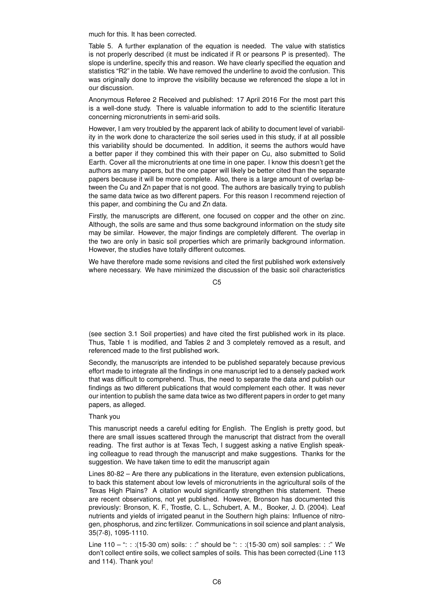much for this. It has been corrected.

Table 5. A further explanation of the equation is needed. The value with statistics is not properly described (it must be indicated if R or pearsons P is presented). The slope is underline, specify this and reason. We have clearly specified the equation and statistics "R2" in the table. We have removed the underline to avoid the confusion. This was originally done to improve the visibility because we referenced the slope a lot in our discussion.

Anonymous Referee 2 Received and published: 17 April 2016 For the most part this is a well-done study. There is valuable information to add to the scientific literature concerning micronutrients in semi-arid soils.

However, I am very troubled by the apparent lack of ability to document level of variability in the work done to characterize the soil series used in this study, if at all possible this variability should be documented. In addition, it seems the authors would have a better paper if they combined this with their paper on Cu, also submitted to Solid Earth. Cover all the micronutrients at one time in one paper. I know this doesn't get the authors as many papers, but the one paper will likely be better cited than the separate papers because it will be more complete. Also, there is a large amount of overlap between the Cu and Zn paper that is not good. The authors are basically trying to publish the same data twice as two different papers. For this reason I recommend rejection of this paper, and combining the Cu and Zn data.

Firstly, the manuscripts are different, one focused on copper and the other on zinc. Although, the soils are same and thus some background information on the study site may be similar. However, the major findings are completely different. The overlap in the two are only in basic soil properties which are primarily background information. However, the studies have totally different outcomes.

We have therefore made some revisions and cited the first published work extensively where necessary. We have minimized the discussion of the basic soil characteristics

 $C<sub>5</sub>$ 

(see section 3.1 Soil properties) and have cited the first published work in its place. Thus, Table 1 is modified, and Tables 2 and 3 completely removed as a result, and referenced made to the first published work.

Secondly, the manuscripts are intended to be published separately because previous effort made to integrate all the findings in one manuscript led to a densely packed work that was difficult to comprehend. Thus, the need to separate the data and publish our findings as two different publications that would complement each other. It was never our intention to publish the same data twice as two different papers in order to get many papers, as alleged.

### Thank you

This manuscript needs a careful editing for English. The English is pretty good, but there are small issues scattered through the manuscript that distract from the overall reading. The first author is at Texas Tech, I suggest asking a native English speaking colleague to read through the manuscript and make suggestions. Thanks for the suggestion. We have taken time to edit the manuscript again

Lines 80-82 – Are there any publications in the literature, even extension publications, to back this statement about low levels of micronutrients in the agricultural soils of the Texas High Plains? A citation would significantly strengthen this statement. These are recent observations, not yet published. However, Bronson has documented this previously: Bronson, K. F., Trostle, C. L., Schubert, A. M., Booker, J. D. (2004). Leaf nutrients and yields of irrigated peanut in the Southern high plains: Influence of nitrogen, phosphorus, and zinc fertilizer. Communications in soil science and plant analysis, 35(7-8), 1095-1110.

Line 110 – ": : :(15-30 cm) soils: : :" should be ": : :(15-30 cm) soil samples: : :" We don't collect entire soils, we collect samples of soils. This has been corrected (Line 113 and 114). Thank you!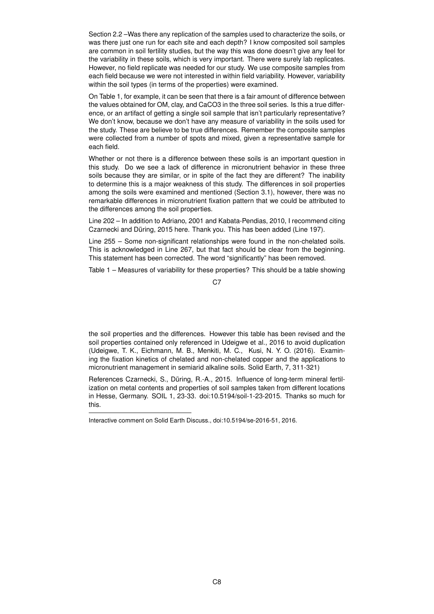Section 2.2 –Was there any replication of the samples used to characterize the soils, or was there just one run for each site and each depth? I know composited soil samples are common in soil fertility studies, but the way this was done doesn't give any feel for the variability in these soils, which is very important. There were surely lab replicates. However, no field replicate was needed for our study. We use composite samples from each field because we were not interested in within field variability. However, variability within the soil types (in terms of the properties) were examined.

On Table 1, for example, it can be seen that there is a fair amount of difference between the values obtained for OM, clay, and CaCO3 in the three soil series. Is this a true difference, or an artifact of getting a single soil sample that isn't particularly representative? We don't know, because we don't have any measure of variability in the soils used for the study. These are believe to be true differences. Remember the composite samples were collected from a number of spots and mixed, given a representative sample for each field.

Whether or not there is a difference between these soils is an important question in this study. Do we see a lack of difference in micronutrient behavior in these three soils because they are similar, or in spite of the fact they are different? The inability to determine this is a major weakness of this study. The differences in soil properties among the soils were examined and mentioned (Section 3.1), however, there was no remarkable differences in micronutrient fixation pattern that we could be attributed to the differences among the soil properties.

Line 202 – In addition to Adriano, 2001 and Kabata-Pendias, 2010, I recommend citing Czarnecki and Düring, 2015 here. Thank you. This has been added (Line 197).

Line 255 – Some non-significant relationships were found in the non-chelated soils. This is acknowledged in Line 267, but that fact should be clear from the beginning. This statement has been corrected. The word "significantly" has been removed.

Table 1 – Measures of variability for these properties? This should be a table showing

the soil properties and the differences. However this table has been revised and the soil properties contained only referenced in Udeigwe et al., 2016 to avoid duplication (Udeigwe, T. K., Eichmann, M. B., Menkiti, M. C., Kusi, N. Y. O. (2016). Examining the fixation kinetics of chelated and non-chelated copper and the applications to micronutrient management in semiarid alkaline soils. Solid Earth, 7, 311-321)

References Czarnecki, S., Düring, R.-A., 2015. Influence of long-term mineral fertilization on metal contents and properties of soil samples taken from different locations in Hesse, Germany. SOIL 1, 23-33. doi:10.5194/soil-1-23-2015. Thanks so much for this.

C7

Interactive comment on Solid Earth Discuss., doi:10.5194/se-2016-51, 2016.